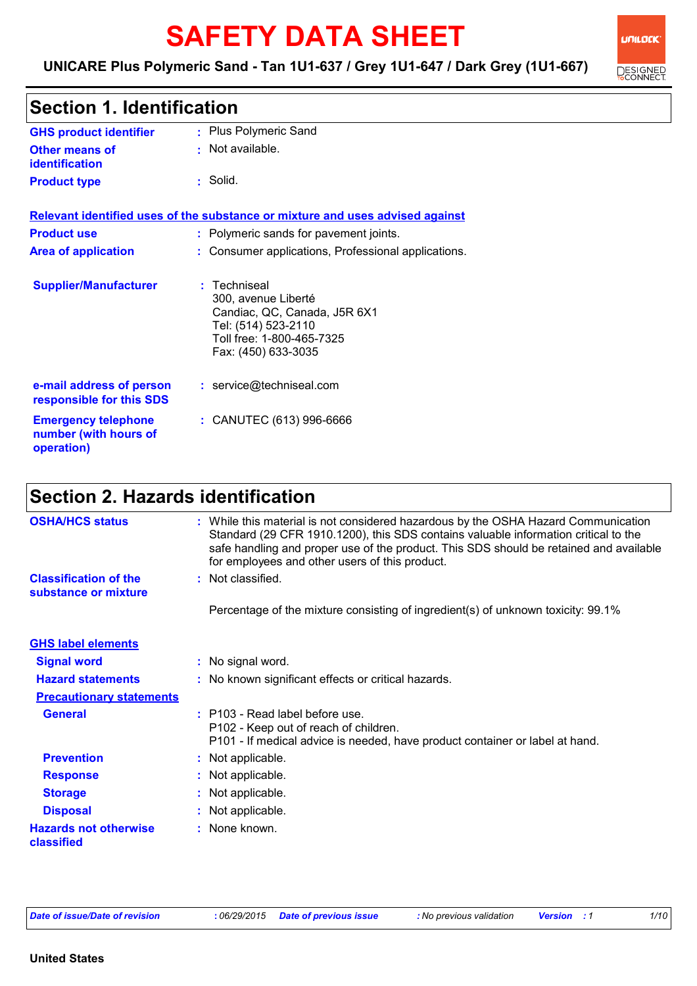# **SAFETY DATA SHEET**

### Plus Polymeric Sand **:** Not available. **:** Solid. **: GHS product identifier Other means of identification Product type Section 1. Identification Relevant identified uses of the substance or mixture and uses advised against Product use <b>:** Polymeric sands for pavement joints. **Area of application :** Consumer applications, Professional applications. **Supplier/Manufacturer :** Techniseal 300, avenue Liberté Candiac, QC, Canada, J5R 6X1 Tel: (514) 523-2110 Toll free: 1-800-465-7325 Fax: (450) 633-3035 **e-mail address of person responsible for this SDS :** service@techniseal.com

| <b>Emergency telephone</b> | : CANUTEC (613) 996-6666 |
|----------------------------|--------------------------|
| number (with hours of      |                          |

### **Section 2. Hazards identification**

| <b>OSHA/HCS status</b>                               | : While this material is not considered hazardous by the OSHA Hazard Communication<br>Standard (29 CFR 1910.1200), this SDS contains valuable information critical to the<br>safe handling and proper use of the product. This SDS should be retained and available<br>for employees and other users of this product. |
|------------------------------------------------------|-----------------------------------------------------------------------------------------------------------------------------------------------------------------------------------------------------------------------------------------------------------------------------------------------------------------------|
| <b>Classification of the</b><br>substance or mixture | : Not classified.                                                                                                                                                                                                                                                                                                     |
|                                                      | Percentage of the mixture consisting of ingredient(s) of unknown toxicity: 99.1%                                                                                                                                                                                                                                      |
| <b>GHS label elements</b>                            |                                                                                                                                                                                                                                                                                                                       |
| <b>Signal word</b>                                   | : No signal word.                                                                                                                                                                                                                                                                                                     |
| <b>Hazard statements</b>                             | : No known significant effects or critical hazards.                                                                                                                                                                                                                                                                   |
| <b>Precautionary statements</b>                      |                                                                                                                                                                                                                                                                                                                       |
| <b>General</b>                                       | $:$ P103 - Read label before use.<br>P102 - Keep out of reach of children.<br>P101 - If medical advice is needed, have product container or label at hand.                                                                                                                                                            |
| <b>Prevention</b>                                    | : Not applicable.                                                                                                                                                                                                                                                                                                     |
| <b>Response</b>                                      | : Not applicable.                                                                                                                                                                                                                                                                                                     |
| <b>Storage</b>                                       | : Not applicable.                                                                                                                                                                                                                                                                                                     |
| <b>Disposal</b>                                      | : Not applicable.                                                                                                                                                                                                                                                                                                     |
| <b>Hazards not otherwise</b><br>classified           | : None known.                                                                                                                                                                                                                                                                                                         |

**operation)**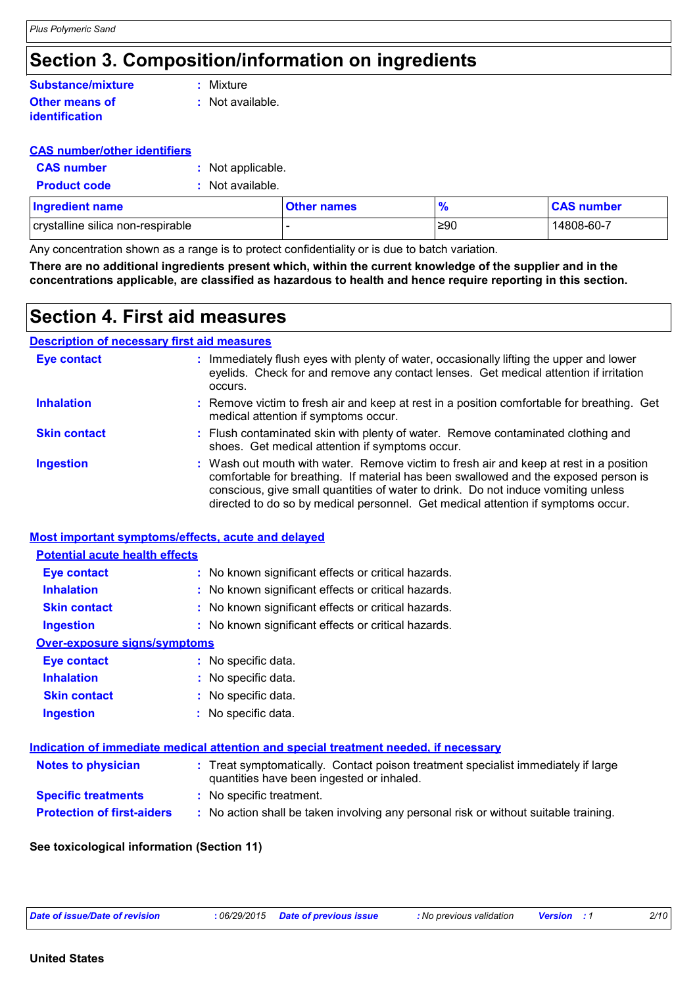# **Section 3. Composition/information on ingredients**

#### **Other means of identification :** Not available. **Substance/mixture :** Mixture

#### **CAS number/other identifiers**

| <b>CAS number</b> | : Not applicable. |
|-------------------|-------------------|
|-------------------|-------------------|

**Product code :** Not available.

| <b>Ingredient name</b>            | <b>Other names</b> | ℀   | <b>CAS number</b> |
|-----------------------------------|--------------------|-----|-------------------|
| crystalline silica non-respirable |                    | ≥90 | 14808-60-7        |

Any concentration shown as a range is to protect confidentiality or is due to batch variation.

**There are no additional ingredients present which, within the current knowledge of the supplier and in the concentrations applicable, are classified as hazardous to health and hence require reporting in this section.**

### **Section 4. First aid measures**

### **Description of necessary first aid measures**

| <b>Eye contact</b>  | : Immediately flush eyes with plenty of water, occasionally lifting the upper and lower<br>eyelids. Check for and remove any contact lenses. Get medical attention if irritation<br>occurs.                                                                                                                                                            |
|---------------------|--------------------------------------------------------------------------------------------------------------------------------------------------------------------------------------------------------------------------------------------------------------------------------------------------------------------------------------------------------|
| <b>Inhalation</b>   | : Remove victim to fresh air and keep at rest in a position comfortable for breathing. Get<br>medical attention if symptoms occur.                                                                                                                                                                                                                     |
| <b>Skin contact</b> | : Flush contaminated skin with plenty of water. Remove contaminated clothing and<br>shoes. Get medical attention if symptoms occur.                                                                                                                                                                                                                    |
| <b>Ingestion</b>    | : Wash out mouth with water. Remove victim to fresh air and keep at rest in a position<br>comfortable for breathing. If material has been swallowed and the exposed person is<br>conscious, give small quantities of water to drink. Do not induce vomiting unless<br>directed to do so by medical personnel. Get medical attention if symptoms occur. |

#### **Most important symptoms/effects, acute and delayed**

#### **Potential acute health effects**

| <b>Eye contact</b>           | : No known significant effects or critical hazards. |
|------------------------------|-----------------------------------------------------|
| <b>Inhalation</b>            | : No known significant effects or critical hazards. |
| <b>Skin contact</b>          | : No known significant effects or critical hazards. |
| <b>Ingestion</b>             | : No known significant effects or critical hazards. |
| Over-exposure signs/symptoms |                                                     |
| <b>Eye contact</b>           | : No specific data.                                 |
| <b>Inhalation</b>            | : No specific data.                                 |
| <b>Skin contact</b>          | : No specific data.                                 |
|                              |                                                     |

| <b>Ingestion</b> | : No specific data. |
|------------------|---------------------|
|------------------|---------------------|

### **Indication of immediate medical attention and special treatment needed, if necessary**

| <b>Notes to physician</b>         | : Treat symptomatically. Contact poison treatment specialist immediately if large<br>quantities have been ingested or inhaled. |
|-----------------------------------|--------------------------------------------------------------------------------------------------------------------------------|
| <b>Specific treatments</b>        | : No specific treatment.                                                                                                       |
| <b>Protection of first-aiders</b> | No action shall be taken involving any personal risk or without suitable training.                                             |

### **See toxicological information (Section 11)**

| :06/29/<br>Date of issue/Date of revision |  |
|-------------------------------------------|--|
|                                           |  |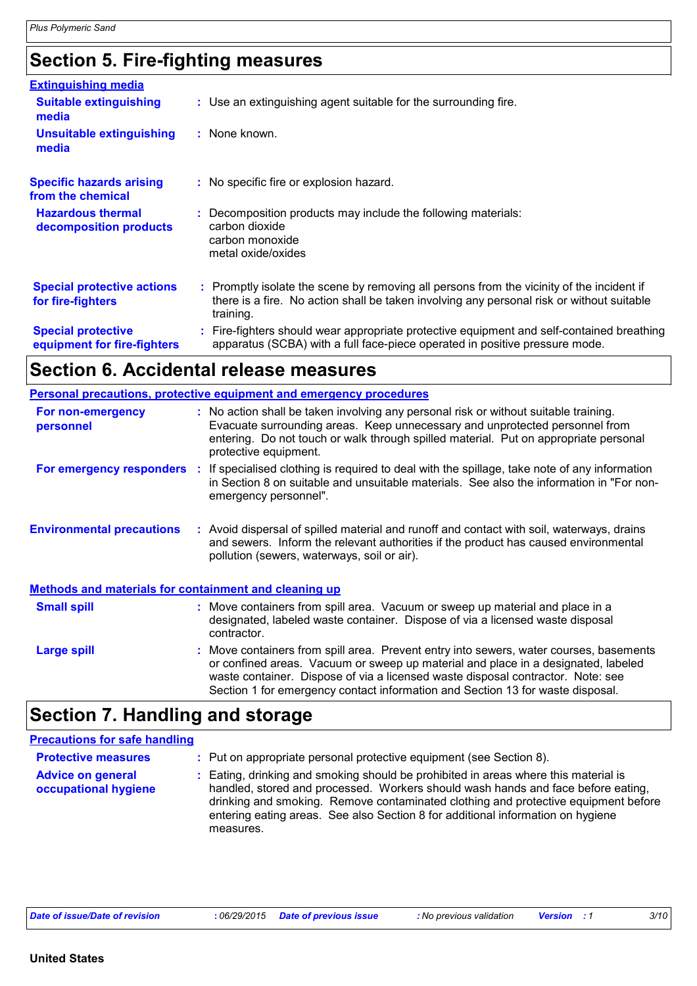# **Section 5. Fire-fighting measures**

| <b>Extinguishing media</b>                               |                                                                                                                                                                                                     |
|----------------------------------------------------------|-----------------------------------------------------------------------------------------------------------------------------------------------------------------------------------------------------|
| <b>Suitable extinguishing</b><br>media                   | : Use an extinguishing agent suitable for the surrounding fire.                                                                                                                                     |
| <b>Unsuitable extinguishing</b><br>media                 | : None known.                                                                                                                                                                                       |
| <b>Specific hazards arising</b><br>from the chemical     | : No specific fire or explosion hazard.                                                                                                                                                             |
| <b>Hazardous thermal</b><br>decomposition products       | Decomposition products may include the following materials:<br>carbon dioxide<br>carbon monoxide<br>metal oxide/oxides                                                                              |
| <b>Special protective actions</b><br>for fire-fighters   | : Promptly isolate the scene by removing all persons from the vicinity of the incident if<br>there is a fire. No action shall be taken involving any personal risk or without suitable<br>training. |
| <b>Special protective</b><br>equipment for fire-fighters | : Fire-fighters should wear appropriate protective equipment and self-contained breathing<br>apparatus (SCBA) with a full face-piece operated in positive pressure mode.                            |

# **Section 6. Accidental release measures**

|                                                              | <b>Personal precautions, protective equipment and emergency procedures</b>                                                                                                                                                                                                                                                                       |
|--------------------------------------------------------------|--------------------------------------------------------------------------------------------------------------------------------------------------------------------------------------------------------------------------------------------------------------------------------------------------------------------------------------------------|
| For non-emergency<br>personnel                               | : No action shall be taken involving any personal risk or without suitable training.<br>Evacuate surrounding areas. Keep unnecessary and unprotected personnel from<br>entering. Do not touch or walk through spilled material. Put on appropriate personal<br>protective equipment.                                                             |
| For emergency responders :                                   | If specialised clothing is required to deal with the spillage, take note of any information<br>in Section 8 on suitable and unsuitable materials. See also the information in "For non-<br>emergency personnel".                                                                                                                                 |
| <b>Environmental precautions</b>                             | : Avoid dispersal of spilled material and runoff and contact with soil, waterways, drains<br>and sewers. Inform the relevant authorities if the product has caused environmental<br>pollution (sewers, waterways, soil or air).                                                                                                                  |
| <b>Methods and materials for containment and cleaning up</b> |                                                                                                                                                                                                                                                                                                                                                  |
| <b>Small spill</b>                                           | : Move containers from spill area. Vacuum or sweep up material and place in a<br>designated, labeled waste container. Dispose of via a licensed waste disposal<br>contractor.                                                                                                                                                                    |
| <b>Large spill</b>                                           | : Move containers from spill area. Prevent entry into sewers, water courses, basements<br>or confined areas. Vacuum or sweep up material and place in a designated, labeled<br>waste container. Dispose of via a licensed waste disposal contractor. Note: see<br>Section 1 for emergency contact information and Section 13 for waste disposal. |

# **Section 7. Handling and storage**

| <b>Precautions for safe handling</b>             |                                                                                                                                                                                                                                                                                                                                                               |
|--------------------------------------------------|---------------------------------------------------------------------------------------------------------------------------------------------------------------------------------------------------------------------------------------------------------------------------------------------------------------------------------------------------------------|
| <b>Protective measures</b>                       | : Put on appropriate personal protective equipment (see Section 8).                                                                                                                                                                                                                                                                                           |
| <b>Advice on general</b><br>occupational hygiene | : Eating, drinking and smoking should be prohibited in areas where this material is<br>handled, stored and processed. Workers should wash hands and face before eating,<br>drinking and smoking. Remove contaminated clothing and protective equipment before<br>entering eating areas. See also Section 8 for additional information on hygiene<br>measures. |

| Date of issue/Date of revision | .06/29/2015 | Date of previous issue | : No previous validation | <b>Version</b> | 3/10 |
|--------------------------------|-------------|------------------------|--------------------------|----------------|------|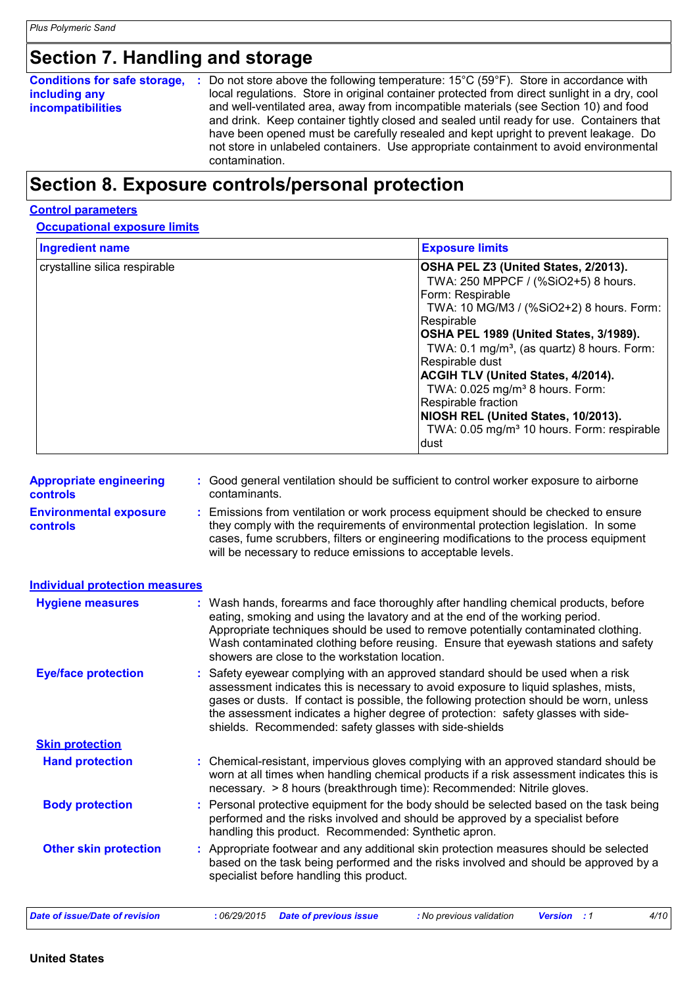# **Section 7. Handling and storage**

#### **Conditions for safe storage, including any incompatibilities**

Do not store above the following temperature: 15°C (59°F). Store in accordance with **:** local regulations. Store in original container protected from direct sunlight in a dry, cool and well-ventilated area, away from incompatible materials (see Section 10) and food and drink. Keep container tightly closed and sealed until ready for use. Containers that have been opened must be carefully resealed and kept upright to prevent leakage. Do not store in unlabeled containers. Use appropriate containment to avoid environmental contamination.

# **Section 8. Exposure controls/personal protection**

#### **Control parameters**

#### **Occupational exposure limits**

| <b>Ingredient name</b>        | <b>Exposure limits</b>                                                                                                                                                                                                                                                                                                                                                         |
|-------------------------------|--------------------------------------------------------------------------------------------------------------------------------------------------------------------------------------------------------------------------------------------------------------------------------------------------------------------------------------------------------------------------------|
| crystalline silica respirable | OSHA PEL Z3 (United States, 2/2013).<br>TWA: 250 MPPCF / (%SiO2+5) 8 hours.<br>Form: Respirable<br>TWA: 10 MG/M3 / (%SiO2+2) 8 hours. Form:<br>lRespirable<br>OSHA PEL 1989 (United States, 3/1989).<br>TWA: 0.1 mg/m <sup>3</sup> , (as quartz) 8 hours. Form:<br>Respirable dust<br><b>ACGIH TLV (United States, 4/2014).</b><br>TWA: 0.025 mg/m <sup>3</sup> 8 hours. Form: |
|                               | Respirable fraction<br>NIOSH REL (United States, 10/2013).<br>TWA: 0.05 mg/m <sup>3</sup> 10 hours. Form: respirable<br>ldust                                                                                                                                                                                                                                                  |

| : Good general ventilation should be sufficient to control worker exposure to airborne<br><b>Appropriate engineering</b><br>contaminants.<br><b>controls</b> |  |
|--------------------------------------------------------------------------------------------------------------------------------------------------------------|--|
|--------------------------------------------------------------------------------------------------------------------------------------------------------------|--|

**Environmental exposure controls :** Emissions from ventilation or work process equipment should be checked to ensure they comply with the requirements of environmental protection legislation. In some cases, fume scrubbers, filters or engineering modifications to the process equipment will be necessary to reduce emissions to acceptable levels.

#### **Hand protection** : Chemical-resistant, impervious gloves complying with an approved standard should be **inverted** worn at all times when handling chemical products if a risk assessment indicates this is necessary. > 8 hours (breakthrough time): Recommended: Nitrile gloves. Safety eyewear complying with an approved standard should be used when a risk **:** assessment indicates this is necessary to avoid exposure to liquid splashes, mists, gases or dusts. If contact is possible, the following protection should be worn, unless the assessment indicates a higher degree of protection: safety glasses with sideshields. Recommended: safety glasses with side-shields **Eye/face protection Body protection** : Personal protective equipment for the body should be selected based on the task being in the task being performed and the risks involved and should be approved by a specialist before handling this product. Recommended: Synthetic apron. Wash hands, forearms and face thoroughly after handling chemical products, before eating, smoking and using the lavatory and at the end of the working period. Appropriate techniques should be used to remove potentially contaminated clothing. Wash contaminated clothing before reusing. Ensure that eyewash stations and safety showers are close to the workstation location. **Hygiene measures : Individual protection measures Skin protection Other skin protection :** Appropriate footwear and any additional skin protection measures should be selected based on the task being performed and the risks involved and should be approved by a specialist before handling this product.

#### *Date of issue/Date of revision* **:** *06/29/2015 Date of previous issue : No previous validation Version : 1 4/10*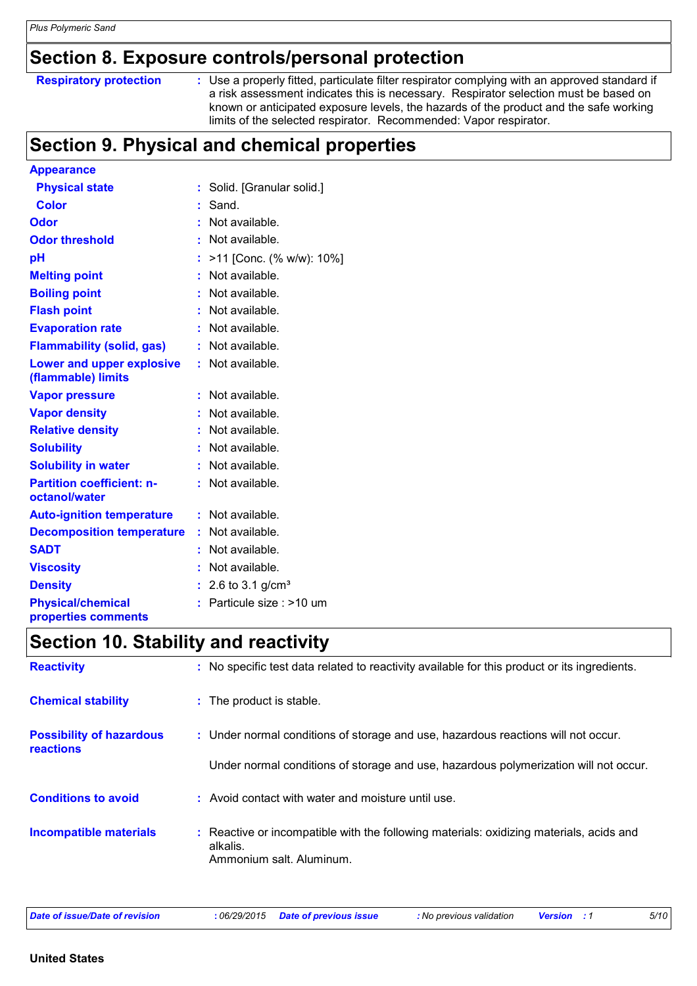# **Section 8. Exposure controls/personal protection**

**Respiratory protection** : Use a properly fitted, particulate filter respirator complying with an approved standard if a risk assessment indicates this is necessary. Respirator selection must be based on known or anticipated exposure levels, the hazards of the product and the safe working limits of the selected respirator. Recommended: Vapor respirator.

# **Section 9. Physical and chemical properties**

| <b>Appearance</b>                                 |    |                          |
|---------------------------------------------------|----|--------------------------|
| <b>Physical state</b>                             | t. | Solid. [Granular solid.] |
| <b>Color</b>                                      | t. | Sand.                    |
| Odor                                              | t  | Not available.           |
| <b>Odor threshold</b>                             |    | Not available.           |
| рH                                                | t. | >11 [Conc. (% w/w): 10%] |
| <b>Melting point</b>                              |    | Not available.           |
| <b>Boiling point</b>                              |    | Not available.           |
| <b>Flash point</b>                                |    | Not available.           |
| <b>Evaporation rate</b>                           |    | Not available.           |
| <b>Flammability (solid, gas)</b>                  | t. | Not available.           |
| Lower and upper explosive<br>(flammable) limits   |    | Not available.           |
| <b>Vapor pressure</b>                             | t  | Not available.           |
| <b>Vapor density</b>                              |    | Not available.           |
| <b>Relative density</b>                           | ÷  | Not available.           |
| <b>Solubility</b>                                 |    | Not available.           |
| <b>Solubility in water</b>                        | t. | Not available.           |
| <b>Partition coefficient: n-</b><br>octanol/water |    | Not available.           |
| <b>Auto-ignition temperature</b>                  | t. | Not available.           |
| <b>Decomposition temperature</b>                  | t. | Not available.           |
| <b>SADT</b>                                       |    | Not available.           |
| <b>Viscosity</b>                                  |    | Not available.           |
| <b>Density</b>                                    |    | 2.6 to 3.1 $g/cm^{3}$    |
| <b>Physical/chemical</b><br>properties comments   |    | Particule size : >10 um  |

# **Section 10. Stability and reactivity**

| <b>Reactivity</b>                                   | : No specific test data related to reactivity available for this product or its ingredients.                                    |
|-----------------------------------------------------|---------------------------------------------------------------------------------------------------------------------------------|
| <b>Chemical stability</b>                           | : The product is stable.                                                                                                        |
| <b>Possibility of hazardous</b><br><b>reactions</b> | : Under normal conditions of storage and use, hazardous reactions will not occur.                                               |
|                                                     | Under normal conditions of storage and use, hazardous polymerization will not occur.                                            |
| <b>Conditions to avoid</b>                          | : Avoid contact with water and moisture until use.                                                                              |
| <b>Incompatible materials</b>                       | : Reactive or incompatible with the following materials: oxidizing materials, acids and<br>alkalis.<br>Ammonium salt. Aluminum. |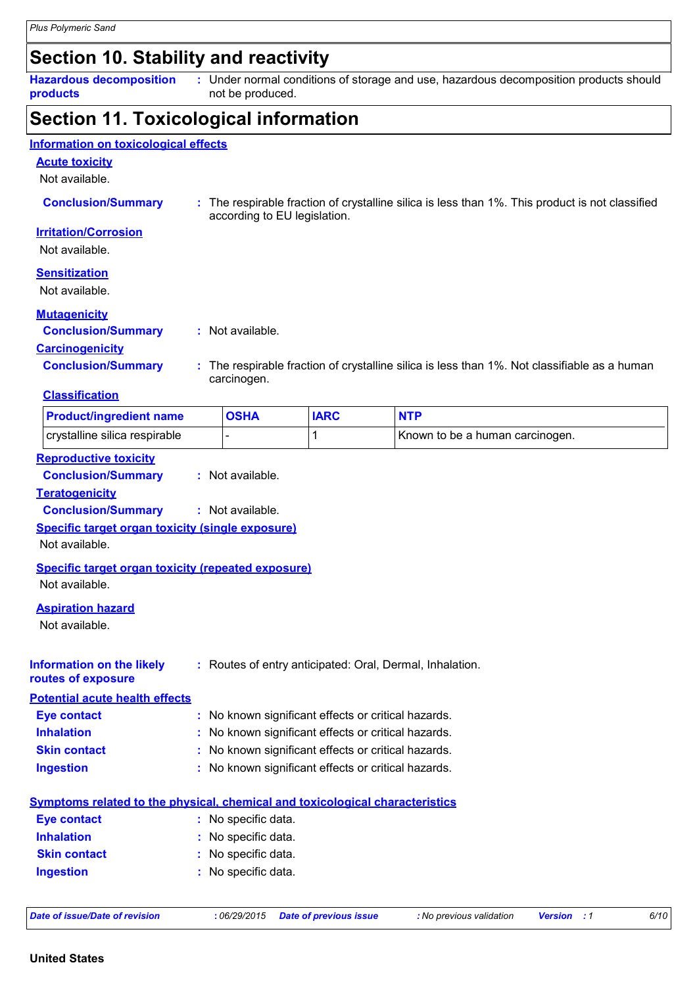# **Section 10. Stability and reactivity**

**Hazardous decomposition products**

Under normal conditions of storage and use, hazardous decomposition products should **:** not be produced.

### **Section 11. Toxicological information**

### **Acute toxicity** Not available. **Conclusion/Summary :** The respirable fraction of crystalline silica is less than 1%. This product is not classified according to EU legislation. **Carcinogenicity Conclusion/Summary :** The respirable fraction of crystalline silica is less than 1%. Not classifiable as a human carcinogen. **Mutagenicity Conclusion/Summary :** Not available. **Reproductive toxicity Irritation/Corrosion** Not available. **Sensitization** Not available. **Information on toxicological effects Classification** crystalline silica respirable  $\begin{vmatrix} - & 1 & 1 \end{vmatrix}$  Known to be a human carcinogen. **Product/ingredient name OSHA IARC NTP**

**Conclusion/Summary :** Not available.

### **Teratogenicity**

**Conclusion/Summary :** Not available.

#### **Specific target organ toxicity (single exposure)**

Not available.

#### **Specific target organ toxicity (repeated exposure)** Not available.

#### **Aspiration hazard**

Not available.

| Information on the likely<br>routes of exposure | : Routes of entry anticipated: Oral, Dermal, Inhalation.                     |
|-------------------------------------------------|------------------------------------------------------------------------------|
| <b>Potential acute health effects</b>           |                                                                              |
| <b>Eye contact</b>                              | : No known significant effects or critical hazards.                          |
| <b>Inhalation</b>                               | : No known significant effects or critical hazards.                          |
| <b>Skin contact</b>                             | : No known significant effects or critical hazards.                          |
| <b>Ingestion</b>                                | : No known significant effects or critical hazards.                          |
|                                                 | Symptoms related to the physical, chemical and toxicological characteristics |
| <b>Eye contact</b>                              | : No specific data.                                                          |
| <b>Inhalation</b>                               | : No specific data.                                                          |
| <b>Skin contact</b>                             | : No specific data.                                                          |
| <b>Ingestion</b>                                | : No specific data.                                                          |

```
Date of issue/Date of revision : 06/29/2015 Date of previous issue : No previous validation Version : 1 6/10
```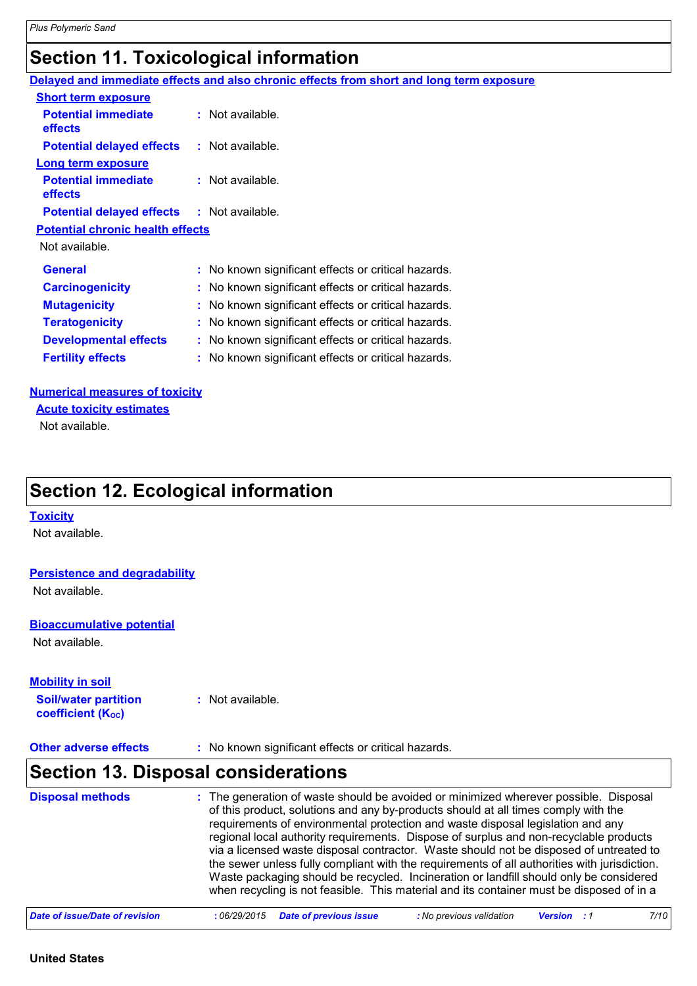# **Section 11. Toxicological information**

|                                                   | Delayed and immediate effects and also chronic effects from short and long term exposure |
|---------------------------------------------------|------------------------------------------------------------------------------------------|
| <b>Short term exposure</b>                        |                                                                                          |
| <b>Potential immediate</b><br><b>effects</b>      | $:$ Not available.                                                                       |
| <b>Potential delayed effects</b>                  | : Not available.                                                                         |
| Long term exposure                                |                                                                                          |
| <b>Potential immediate</b><br><b>effects</b>      | $:$ Not available.                                                                       |
| <b>Potential delayed effects : Not available.</b> |                                                                                          |
| <b>Potential chronic health effects</b>           |                                                                                          |
| Not available.                                    |                                                                                          |
| <b>General</b>                                    | : No known significant effects or critical hazards.                                      |
| <b>Carcinogenicity</b>                            | : No known significant effects or critical hazards.                                      |
| <b>Mutagenicity</b>                               | : No known significant effects or critical hazards.                                      |
| <b>Teratogenicity</b>                             | : No known significant effects or critical hazards.                                      |
| <b>Developmental effects</b>                      | : No known significant effects or critical hazards.                                      |
| <b>Fertility effects</b>                          | : No known significant effects or critical hazards.                                      |

#### **Numerical measures of toxicity**

Not available. **Acute toxicity estimates**

# **Section 12. Ecological information**

#### **Toxicity**

Not available.

#### **Persistence and degradability**

Not available.

#### **Bioaccumulative potential**

Not available.

#### **Mobility in soil**

**Soil/water partition coefficient (KOC) :** Not available.

#### **Other adverse effects** : No known significant effects or critical hazards.

### **Section 13. Disposal considerations**

| <b>Disposal methods</b>        | : The generation of waste should be avoided or minimized wherever possible. Disposal<br>of this product, solutions and any by-products should at all times comply with the<br>requirements of environmental protection and waste disposal legislation and any<br>regional local authority requirements. Dispose of surplus and non-recyclable products<br>via a licensed waste disposal contractor. Waste should not be disposed of untreated to<br>the sewer unless fully compliant with the requirements of all authorities with jurisdiction.<br>Waste packaging should be recycled. Incineration or landfill should only be considered<br>when recycling is not feasible. This material and its container must be disposed of in a |
|--------------------------------|----------------------------------------------------------------------------------------------------------------------------------------------------------------------------------------------------------------------------------------------------------------------------------------------------------------------------------------------------------------------------------------------------------------------------------------------------------------------------------------------------------------------------------------------------------------------------------------------------------------------------------------------------------------------------------------------------------------------------------------|
| Date of issue/Date of revision | <b>Date of previous issue</b><br>: No previous validation<br>7/10<br>:06/29/2015<br><b>Version</b> : 1                                                                                                                                                                                                                                                                                                                                                                                                                                                                                                                                                                                                                                 |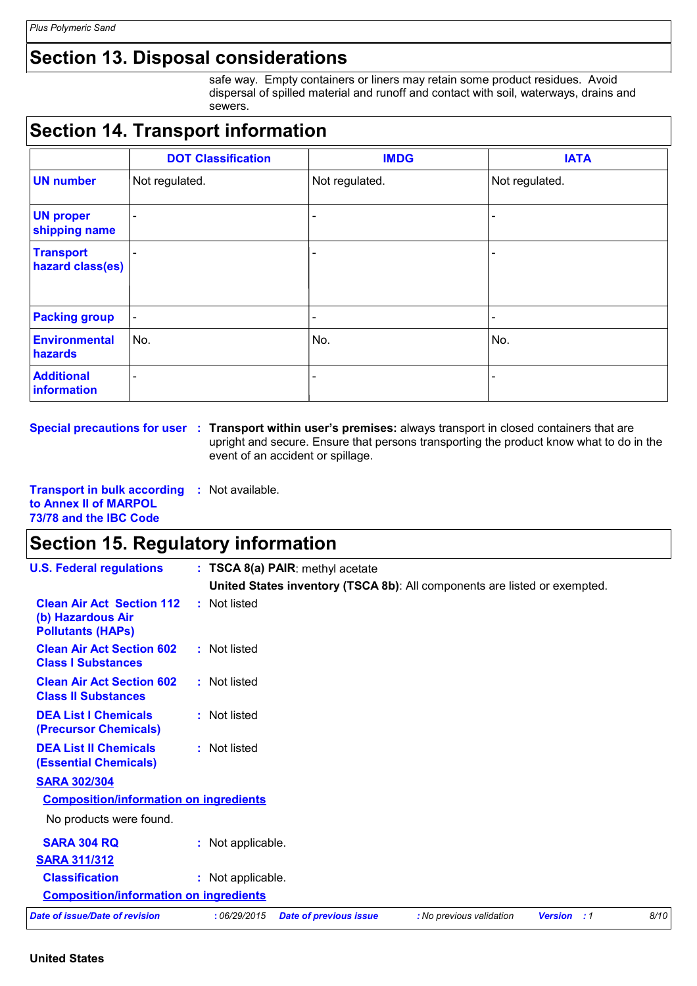# **Section 13. Disposal considerations**

safe way. Empty containers or liners may retain some product residues. Avoid dispersal of spilled material and runoff and contact with soil, waterways, drains and sewers.

# **Section 14. Transport information**

|                                      | <b>DOT Classification</b> | <b>IMDG</b>              | <b>IATA</b>     |
|--------------------------------------|---------------------------|--------------------------|-----------------|
| <b>UN number</b>                     | Not regulated.            | Not regulated.           | Not regulated.  |
| <b>UN proper</b><br>shipping name    | $\overline{\phantom{a}}$  |                          |                 |
| <b>Transport</b><br>hazard class(es) |                           |                          |                 |
| <b>Packing group</b>                 | $\blacksquare$            | $\overline{\phantom{a}}$ | $\qquad \qquad$ |
| <b>Environmental</b><br>hazards      | No.                       | No.                      | No.             |
| <b>Additional</b><br>information     | ٠                         | -                        |                 |

**Special precautions for user** : Transport within user's premises: always transport in closed containers that are upright and secure. Ensure that persons transporting the product know what to do in the event of an accident or spillage.

**Transport in bulk according :** Not available. **to Annex II of MARPOL 73/78 and the IBC Code**

### **Section 15. Regulatory information**

| <b>U.S. Federal regulations</b>                                                   | : TSCA 8(a) PAIR: methyl acetate |                               |                                                                           |                    |      |
|-----------------------------------------------------------------------------------|----------------------------------|-------------------------------|---------------------------------------------------------------------------|--------------------|------|
|                                                                                   |                                  |                               | United States inventory (TSCA 8b): All components are listed or exempted. |                    |      |
| <b>Clean Air Act Section 112</b><br>(b) Hazardous Air<br><b>Pollutants (HAPS)</b> | : Not listed                     |                               |                                                                           |                    |      |
| <b>Clean Air Act Section 602</b><br><b>Class I Substances</b>                     | : Not listed                     |                               |                                                                           |                    |      |
| <b>Clean Air Act Section 602</b><br><b>Class II Substances</b>                    | : Not listed                     |                               |                                                                           |                    |      |
| <b>DEA List I Chemicals</b><br>(Precursor Chemicals)                              | : Not listed                     |                               |                                                                           |                    |      |
| <b>DEA List II Chemicals</b><br><b>(Essential Chemicals)</b>                      | : Not listed                     |                               |                                                                           |                    |      |
| <b>SARA 302/304</b>                                                               |                                  |                               |                                                                           |                    |      |
| <b>Composition/information on ingredients</b>                                     |                                  |                               |                                                                           |                    |      |
| No products were found.                                                           |                                  |                               |                                                                           |                    |      |
| <b>SARA 304 RQ</b>                                                                | : Not applicable.                |                               |                                                                           |                    |      |
| <b>SARA 311/312</b>                                                               |                                  |                               |                                                                           |                    |      |
| <b>Classification</b>                                                             | : Not applicable.                |                               |                                                                           |                    |      |
| <b>Composition/information on ingredients</b>                                     |                                  |                               |                                                                           |                    |      |
| <b>Date of issue/Date of revision</b>                                             | :06/29/2015                      | <b>Date of previous issue</b> | : No previous validation                                                  | <b>Version</b> : 1 | 8/10 |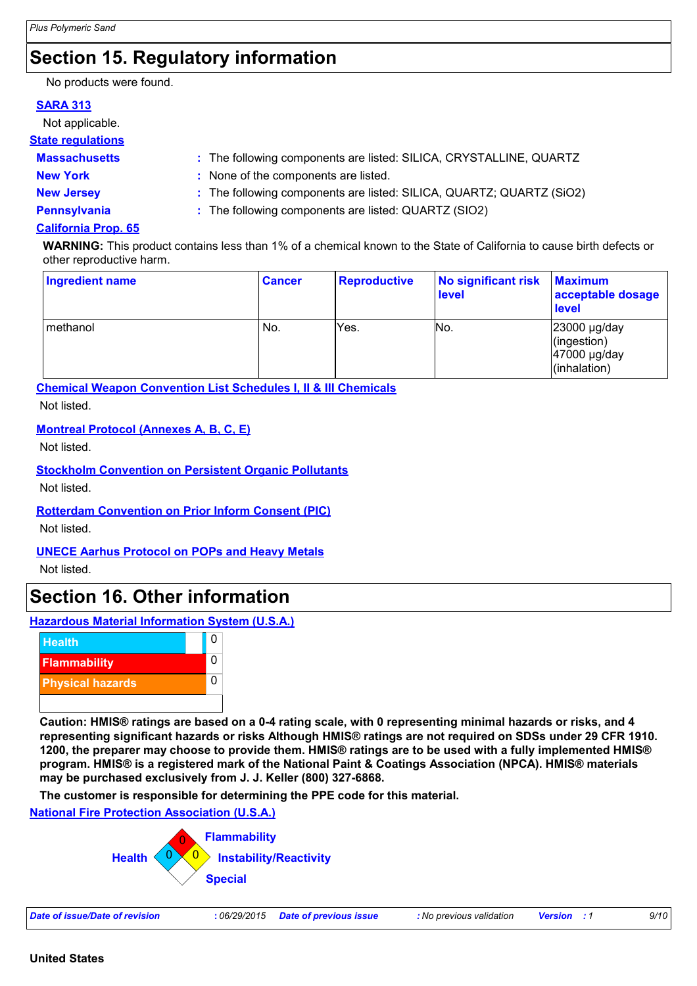# **Section 15. Regulatory information**

No products were found.

### **SARA 313**

Not applicable.

### **State regulations**

| Massachusetts   | : The following components are listed: SILICA, CRYSTALLINE, QUARTZ |
|-----------------|--------------------------------------------------------------------|
| <b>New York</b> | None of the components are listed.                                 |

- 
- **New Jersey :** The following components are listed: SILICA, QUARTZ; QUARTZ (SiO2)
- 
- **Pennsylvania :** The following components are listed: QUARTZ (SIO2)

### **California Prop. 65**

**WARNING:** This product contains less than 1% of a chemical known to the State of California to cause birth defects or other reproductive harm.

| <b>Ingredient name</b> | <b>Cancer</b> | <b>Reproductive</b> | No significant risk<br>level | <b>Maximum</b><br>acceptable dosage<br><b>level</b>              |
|------------------------|---------------|---------------------|------------------------------|------------------------------------------------------------------|
| methanol               | No.           | Yes.                | No.                          | $23000 \mu g/day$<br>(ingestion)<br>47000 µg/day<br>(inhalation) |

**Chemical Weapon Convention List Schedules I, II & III Chemicals**

Not listed.

### **Montreal Protocol (Annexes A, B, C, E)**

Not listed.

### **Stockholm Convention on Persistent Organic Pollutants**

Not listed.

### **Rotterdam Convention on Prior Inform Consent (PIC)**

Not listed.

### **UNECE Aarhus Protocol on POPs and Heavy Metals**

Not listed.

### **Section 16. Other information**

### **Hazardous Material Information System (U.S.A.)**



**Caution: HMIS® ratings are based on a 0-4 rating scale, with 0 representing minimal hazards or risks, and 4 representing significant hazards or risks Although HMIS® ratings are not required on SDSs under 29 CFR 1910. 1200, the preparer may choose to provide them. HMIS® ratings are to be used with a fully implemented HMIS® program. HMIS® is a registered mark of the National Paint & Coatings Association (NPCA). HMIS® materials may be purchased exclusively from J. J. Keller (800) 327-6868.**

**The customer is responsible for determining the PPE code for this material.**

#### **National Fire Protection Association (U.S.A.)**